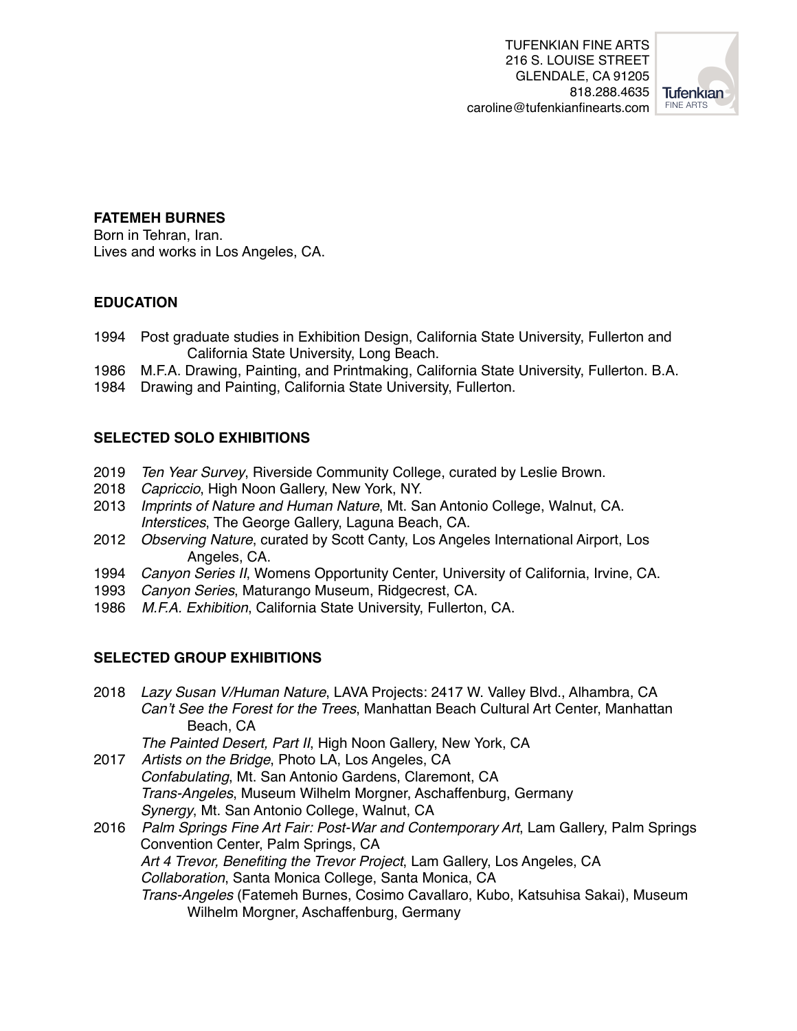

## **FATEMEH BURNES**

Born in Tehran, Iran. Lives and works in Los Angeles, CA.

## **EDUCATION**

- 1994 Post graduate studies in Exhibition Design, California State University, Fullerton and California State University, Long Beach.
- 1986 M.F.A. Drawing, Painting, and Printmaking, California State University, Fullerton. B.A.
- 1984 Drawing and Painting, California State University, Fullerton.

## **SELECTED SOLO EXHIBITIONS**

- 2019 *Ten Year Survey*, Riverside Community College, curated by Leslie Brown.
- 2018 *Capriccio*, High Noon Gallery, New York, NY.
- 2013 *Imprints of Nature and Human Nature*, Mt. San Antonio College, Walnut, CA. *Interstices*, The George Gallery, Laguna Beach, CA.
- 2012 *Observing Nature*, curated by Scott Canty, Los Angeles International Airport, Los Angeles, CA.
- 1994 *Canyon Series II*, Womens Opportunity Center, University of California, Irvine, CA.
- 1993 *Canyon Series*, Maturango Museum, Ridgecrest, CA.
- 1986 *M.F.A. Exhibition*, California State University, Fullerton, CA.

## **SELECTED GROUP EXHIBITIONS**

2018 *Lazy Susan V/Human Nature*, LAVA Projects: 2417 W. Valley Blvd., Alhambra, CA *Can't See the Forest for the Trees*, Manhattan Beach Cultural Art Center, Manhattan Beach, CA

*The Painted Desert, Part II*, High Noon Gallery, New York, CA

- 2017 *Artists on the Bridge*, Photo LA, Los Angeles, CA *Confabulating*, Mt. San Antonio Gardens, Claremont, CA *Trans-Angeles*, Museum Wilhelm Morgner, Aschaffenburg, Germany *Synergy*, Mt. San Antonio College, Walnut, CA
- 2016 *Palm Springs Fine Art Fair: Post-War and Contemporary Art*, Lam Gallery, Palm Springs Convention Center, Palm Springs, CA *Art 4 Trevor, Benefiting the Trevor Project*, Lam Gallery, Los Angeles, CA *Collaboration*, Santa Monica College, Santa Monica, CA *Trans-Angeles* (Fatemeh Burnes, Cosimo Cavallaro, Kubo, Katsuhisa Sakai), Museum Wilhelm Morgner, Aschaffenburg, Germany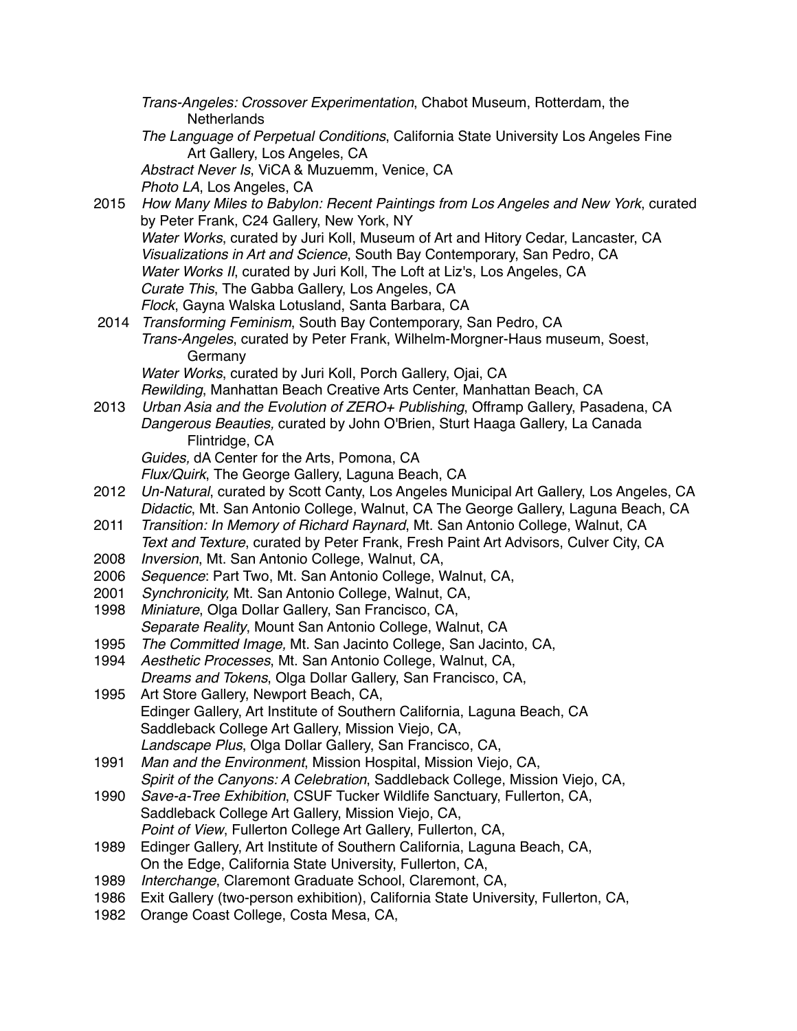|      | Trans-Angeles: Crossover Experimentation, Chabot Museum, Rotterdam, the<br>Netherlands                                      |
|------|-----------------------------------------------------------------------------------------------------------------------------|
|      | The Language of Perpetual Conditions, California State University Los Angeles Fine                                          |
|      | Art Gallery, Los Angeles, CA                                                                                                |
|      | Abstract Never Is, ViCA & Muzuemm, Venice, CA                                                                               |
|      | Photo LA, Los Angeles, CA                                                                                                   |
| 2015 | How Many Miles to Babylon: Recent Paintings from Los Angeles and New York, curated                                          |
|      | by Peter Frank, C24 Gallery, New York, NY                                                                                   |
|      | Water Works, curated by Juri Koll, Museum of Art and Hitory Cedar, Lancaster, CA                                            |
|      | Visualizations in Art and Science, South Bay Contemporary, San Pedro, CA                                                    |
|      | Water Works II, curated by Juri Koll, The Loft at Liz's, Los Angeles, CA<br>Curate This, The Gabba Gallery, Los Angeles, CA |
|      | Flock, Gayna Walska Lotusland, Santa Barbara, CA                                                                            |
| 2014 | Transforming Feminism, South Bay Contemporary, San Pedro, CA                                                                |
|      | Trans-Angeles, curated by Peter Frank, Wilhelm-Morgner-Haus museum, Soest,                                                  |
|      | Germany                                                                                                                     |
|      | Water Works, curated by Juri Koll, Porch Gallery, Ojai, CA                                                                  |
|      | Rewilding, Manhattan Beach Creative Arts Center, Manhattan Beach, CA                                                        |
| 2013 | Urban Asia and the Evolution of ZERO+ Publishing, Offramp Gallery, Pasadena, CA                                             |
|      | Dangerous Beauties, curated by John O'Brien, Sturt Haaga Gallery, La Canada                                                 |
|      | Flintridge, CA                                                                                                              |
|      | Guides, dA Center for the Arts, Pomona, CA                                                                                  |
|      | Flux/Quirk, The George Gallery, Laguna Beach, CA                                                                            |
| 2012 | Un-Natural, curated by Scott Canty, Los Angeles Municipal Art Gallery, Los Angeles, CA                                      |
|      | Didactic, Mt. San Antonio College, Walnut, CA The George Gallery, Laguna Beach, CA                                          |
| 2011 | Transition: In Memory of Richard Raynard, Mt. San Antonio College, Walnut, CA                                               |
|      | Text and Texture, curated by Peter Frank, Fresh Paint Art Advisors, Culver City, CA                                         |
| 2008 | Inversion, Mt. San Antonio College, Walnut, CA,                                                                             |
| 2006 | Sequence: Part Two, Mt. San Antonio College, Walnut, CA,                                                                    |
| 2001 | Synchronicity, Mt. San Antonio College, Walnut, CA,                                                                         |
| 1998 | Miniature, Olga Dollar Gallery, San Francisco, CA,<br>Separate Reality, Mount San Antonio College, Walnut, CA               |
| 1995 | The Committed Image, Mt. San Jacinto College, San Jacinto, CA,                                                              |
| 1994 | Aesthetic Processes, Mt. San Antonio College, Walnut, CA,                                                                   |
|      | Dreams and Tokens, Olga Dollar Gallery, San Francisco, CA,                                                                  |
| 1995 | Art Store Gallery, Newport Beach, CA,                                                                                       |
|      | Edinger Gallery, Art Institute of Southern California, Laguna Beach, CA                                                     |
|      | Saddleback College Art Gallery, Mission Viejo, CA,                                                                          |
|      | Landscape Plus, Olga Dollar Gallery, San Francisco, CA,                                                                     |
| 1991 | Man and the Environment, Mission Hospital, Mission Viejo, CA,                                                               |
|      | Spirit of the Canyons: A Celebration, Saddleback College, Mission Viejo, CA,                                                |
| 1990 | Save-a-Tree Exhibition, CSUF Tucker Wildlife Sanctuary, Fullerton, CA,                                                      |
|      | Saddleback College Art Gallery, Mission Viejo, CA,                                                                          |
|      | Point of View, Fullerton College Art Gallery, Fullerton, CA,                                                                |
| 1989 | Edinger Gallery, Art Institute of Southern California, Laguna Beach, CA,                                                    |
|      | On the Edge, California State University, Fullerton, CA,                                                                    |
| 1989 | Interchange, Claremont Graduate School, Claremont, CA,                                                                      |
| 1986 | Exit Gallery (two-person exhibition), California State University, Fullerton, CA,                                           |
| 1982 | Orange Coast College, Costa Mesa, CA,                                                                                       |
|      |                                                                                                                             |